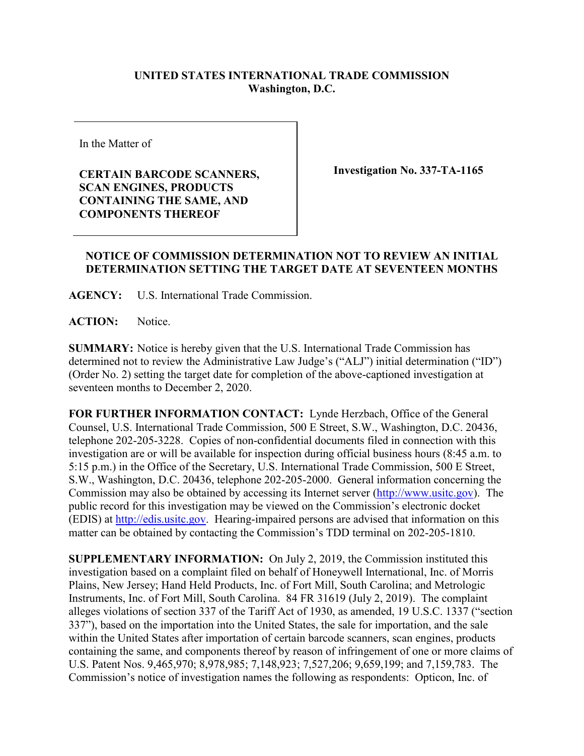## **UNITED STATES INTERNATIONAL TRADE COMMISSION Washington, D.C.**

In the Matter of

**CERTAIN BARCODE SCANNERS, SCAN ENGINES, PRODUCTS CONTAINING THE SAME, AND COMPONENTS THEREOF**

**Investigation No. 337-TA-1165**

## **NOTICE OF COMMISSION DETERMINATION NOT TO REVIEW AN INITIAL DETERMINATION SETTING THE TARGET DATE AT SEVENTEEN MONTHS**

**AGENCY:** U.S. International Trade Commission.

**ACTION:** Notice.

**SUMMARY:** Notice is hereby given that the U.S. International Trade Commission has determined not to review the Administrative Law Judge's ("ALJ") initial determination ("ID") (Order No. 2) setting the target date for completion of the above-captioned investigation at seventeen months to December 2, 2020.

**FOR FURTHER INFORMATION CONTACT:** Lynde Herzbach, Office of the General Counsel, U.S. International Trade Commission, 500 E Street, S.W., Washington, D.C. 20436, telephone 202-205-3228. Copies of non-confidential documents filed in connection with this investigation are or will be available for inspection during official business hours (8:45 a.m. to 5:15 p.m.) in the Office of the Secretary, U.S. International Trade Commission, 500 E Street, S.W., Washington, D.C. 20436, telephone 202-205-2000. General information concerning the Commission may also be obtained by accessing its Internet server [\(http://www.usitc.gov\)](http://www.usitc.gov/). The public record for this investigation may be viewed on the Commission's electronic docket (EDIS) at [http://edis.usitc.gov.](http://edis.usitc.gov/) Hearing-impaired persons are advised that information on this matter can be obtained by contacting the Commission's TDD terminal on 202-205-1810.

**SUPPLEMENTARY INFORMATION:** On July 2, 2019, the Commission instituted this investigation based on a complaint filed on behalf of Honeywell International, Inc. of Morris Plains, New Jersey; Hand Held Products, Inc. of Fort Mill, South Carolina; and Metrologic Instruments, Inc. of Fort Mill, South Carolina. 84 FR 31619 (July 2, 2019). The complaint alleges violations of section 337 of the Tariff Act of 1930, as amended, 19 U.S.C. 1337 ("section 337"), based on the importation into the United States, the sale for importation, and the sale within the United States after importation of certain barcode scanners, scan engines, products containing the same, and components thereof by reason of infringement of one or more claims of U.S. Patent Nos. 9,465,970; 8,978,985; 7,148,923; 7,527,206; 9,659,199; and 7,159,783. The Commission's notice of investigation names the following as respondents: Opticon, Inc. of